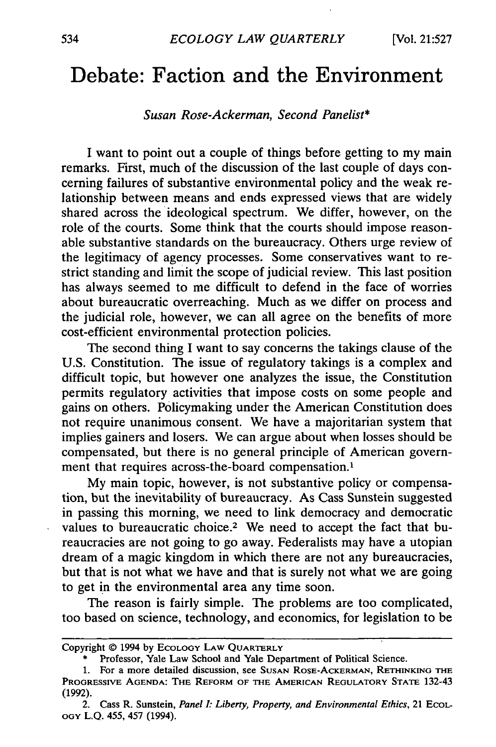## **Debate: Faction and the Environment**

## *Susan Rose-Ackerman, Second Panelist\**

I want to point out a couple of things before getting to my main remarks. First, much of the discussion of the last couple of days concerning failures of substantive environmental policy and the weak relationship between means and ends expressed views that are widely shared across the ideological spectrum. We differ, however, on the role of the courts. Some think that the courts should impose reasonable substantive standards on the bureaucracy. Others urge review of the legitimacy of agency processes. Some conservatives want to restrict standing and limit the scope of judicial review. This last position has always seemed to me difficult to defend in the face of worries about bureaucratic overreaching. Much as we differ on process and the judicial role, however, we can all agree on the benefits of more cost-efficient environmental protection policies.

The second thing I want to say concerns the takings clause of the U.S. Constitution. The issue of regulatory takings is a complex and difficult topic, but however one analyzes the issue, the Constitution permits regulatory activities that impose costs on some people and gains on others. Policymaking under the American Constitution does not require unanimous consent. We have a majoritarian system that implies gainers and losers. We can argue about when losses should be compensated, but there is no general principle of American government that requires across-the-board compensation.'

My main topic, however, is not substantive policy or compensation, but the inevitability of bureaucracy. As Cass Sunstein suggested in passing this morning, we need to link democracy and democratic values to bureaucratic choice.<sup>2</sup> We need to accept the fact that bureaucracies are not going to go away. Federalists may have a utopian dream of a magic kingdom in which there are not any bureaucracies, but that is not what we have and that is surely not what we are going to get in the environmental area any time soon.

The reason is fairly simple. The problems are too complicated, too based on science, technology, and economics, for legislation to be

Copyright © 1994 **by** ECOLOGY **LAW** QUARTERLY

Professor, Yale Law School and Yale Department of Political Science.

**<sup>1.</sup>** For a more detailed discussion, see **SUSAN** ROSE-ACKERMAN, RETHINKING **THE** PROGRESSIVE **AGENDA: THE** REFORM OF THE **AMERICAN** REGULATORY **STATE** 132-43 (1992).

<sup>2.</sup> Cass R. Sunstein, *Panel I: Liberty, Property, and Environmental Ethics,* 21 ECOL-**OGY** L.Q. 455, 457 (1994).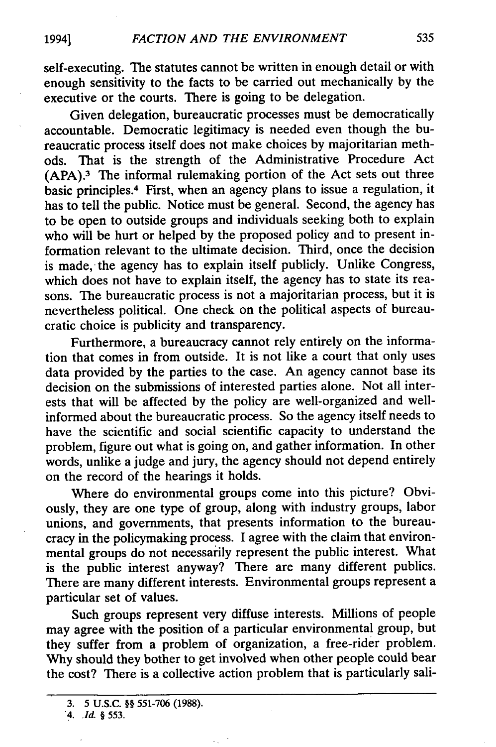self-executing. The statutes cannot be written in enough detail or with enough sensitivity to the facts to be carried out mechanically by the executive or the courts. There is going to be delegation.

Given delegation, bureaucratic processes must be democratically accountable. Democratic legitimacy is needed even though the bureaucratic process itself does not make choices by majoritarian methods. That is the strength of the Administrative Procedure Act (APA). 3 The informal rulemaking portion of the Act sets out three basic principles.4 First, when an agency plans to issue a regulation, it has to tell the public. Notice must be general. Second, the agency has to be open to outside groups and individuals seeking both to explain who will be hurt or helped by the proposed policy and to present information relevant to the ultimate decision. Third, once the decision is made, the agency has to explain itself publicly. Unlike Congress, which does not have to explain itself, the agency has to state its reasons. The bureaucratic process is not a majoritarian process, but it is nevertheless political. One check on the political aspects of bureaucratic choice is publicity and transparency.

Furthermore, a bureaucracy cannot rely entirely on the information that comes in from outside. It is not like a court that only uses data provided by the parties to the case. An agency cannot base its decision on the submissions of interested parties alone. Not all interests that will be affected by the policy are well-organized and wellinformed about the bureaucratic process. So the agency itself needs to have the scientific and social scientific capacity to understand the problem, figure out what is going on, and gather information. In other words, unlike a judge and jury, the agency should not depend entirely on the record of the hearings it holds.

Where do environmental groups come into this picture? Obviously, they are one type of group, along with industry groups, labor unions, and governments, that presents information to the bureaucracy in the policymaking process. I agree with the claim that environmental groups do not necessarily represent the public interest. What is the public interest anyway? There are many different publics There are many different interests. Environmental groups represent a particular set of values.

Such groups represent very diffuse interests. Millions of people may agree with the position of a particular environmental group, but they suffer from a problem of organization, a free-rider problem. Why should they bother to get involved when other people could bear the cost? There is a collective action problem that is particularly sali-

**<sup>3.</sup>** 5 **U.S.C. §§ 551-706 (1988).**

*<sup>&</sup>quot;4. Id. §* 553.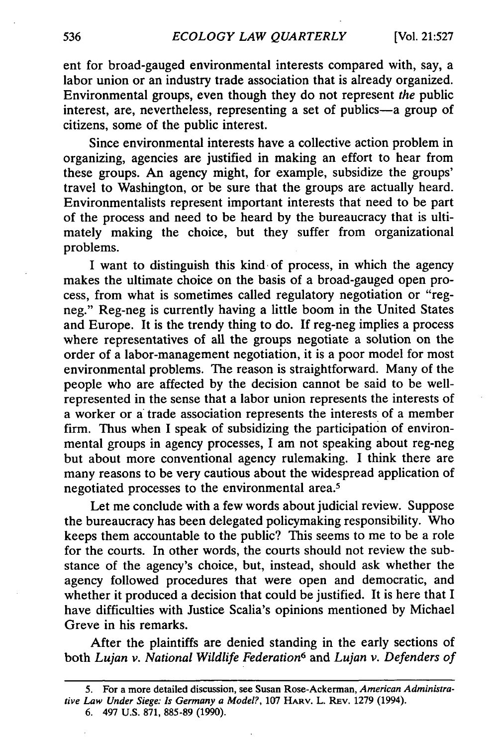ent for broad-gauged environmental interests compared with, say, a labor union or an industry trade association that is already organized. Environmental groups, even though they do not represent *the* public interest, are, nevertheless, representing a set of publics-a group of citizens, some of the public interest.

Since environmental interests have a collective action problem in organizing, agencies are justified in making an effort to hear from these groups. An agency might, for example, subsidize the groups' travel to Washington, or be sure that the groups are actually heard. Environmentalists represent important interests that need to be part of the process and need to be heard by the bureaucracy that is ultimately making the choice, but they suffer from organizational problems.

I want to distinguish this kind of process, in which the agency makes the ultimate choice on the basis of a broad-gauged open process, from what is sometimes called regulatory negotiation or "regneg." Reg-neg is currently having a little boom in the United States and Europe. It is the trendy thing to do. If reg-neg implies a process where representatives of all the groups negotiate a solution on the order of a labor-management negotiation, it is a poor model for most environmental problems. The reason is straightforward. Many of the people who are affected by the decision cannot be said to be wellrepresented in the sense that a labor union represents the interests of a worker or a trade association represents the interests of a member firm. Thus when I speak of subsidizing the participation of environmental groups in agency processes, I am not speaking about reg-neg but about more conventional agency rulemaking. I think there are many reasons to be very cautious about the widespread application of negotiated processes to the environmental area.<sup>5</sup>

Let me conclude with a few words about judicial review. Suppose the bureaucracy has been delegated policymaking responsibility. Who keeps them accountable to the public? This seems to me to be a role for the courts. In other words, the courts should not review the substance of the agency's choice, but, instead, should ask whether the agency followed procedures that were open and democratic, and whether it produced a decision that could be justified. It is here that I have difficulties with Justice Scalia's opinions mentioned by Michael Greve in his remarks.

After the plaintiffs are denied standing in the early sections of both *Lujan v. National Wildlife Federation6* and *Lujan v. Defenders of*

<sup>5.</sup> For a more detailed discussion, see Susan Rose-Ackerman, *American Administrative Law Under Siege: Is* Germany a Model?, **107** HARV. L. REv. 1279 (1994). **6.** 497 U.S. 871, 885-89 (1990).